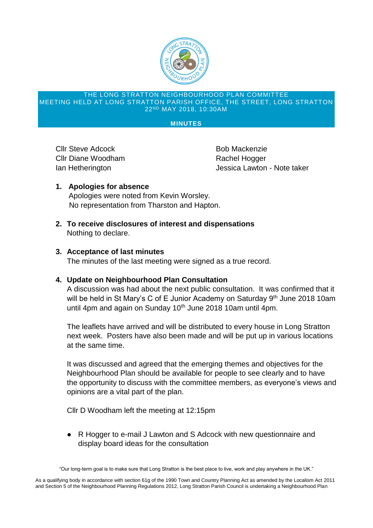

#### THE LONG STRATTON NEIGHBOURHOOD PLAN COMMITTEE MEETING HELD AT LONG STRATTON PARISH OFFICE, THE STREET, LONG STRATTON 22ND MAY 2018, 10:30AM

### **MINUTES**

Cllr Steve Adcock Bob Mackenzie Cllr Diane Woodham Rachel Hogger

Ian Hetherington **Intervention** Jessica Lawton - Note taker

- **1. Apologies for absence** Apologies were noted from Kevin Worsley. No representation from Tharston and Hapton.
- **2. To receive disclosures of interest and dispensations** Nothing to declare.

# **3. Acceptance of last minutes**

The minutes of the last meeting were signed as a true record.

## **4. Update on Neighbourhood Plan Consultation**

A discussion was had about the next public consultation. It was confirmed that it will be held in St Mary's C of E Junior Academy on Saturday  $9<sup>th</sup>$  June 2018 10am until 4pm and again on Sunday  $10<sup>th</sup>$  June 2018 10am until 4pm.

The leaflets have arrived and will be distributed to every house in Long Stratton next week. Posters have also been made and will be put up in various locations at the same time.

It was discussed and agreed that the emerging themes and objectives for the Neighbourhood Plan should be available for people to see clearly and to have the opportunity to discuss with the committee members, as everyone's views and opinions are a vital part of the plan.

Cllr D Woodham left the meeting at 12:15pm

● R Hogger to e-mail J Lawton and S Adcock with new questionnaire and display board ideas for the consultation

"Our long-term goal is to make sure that Long Stratton is the best place to live, work and play anywhere in the UK."

As a qualifying body in accordance with section 61g of the 1990 Town and Country Planning Act as amended by the Localism Act 2011 and Section 5 of the Neighbourhood Planning Regulations 2012, Long Stratton Parish Council is undertaking a Neighbourhood Plan